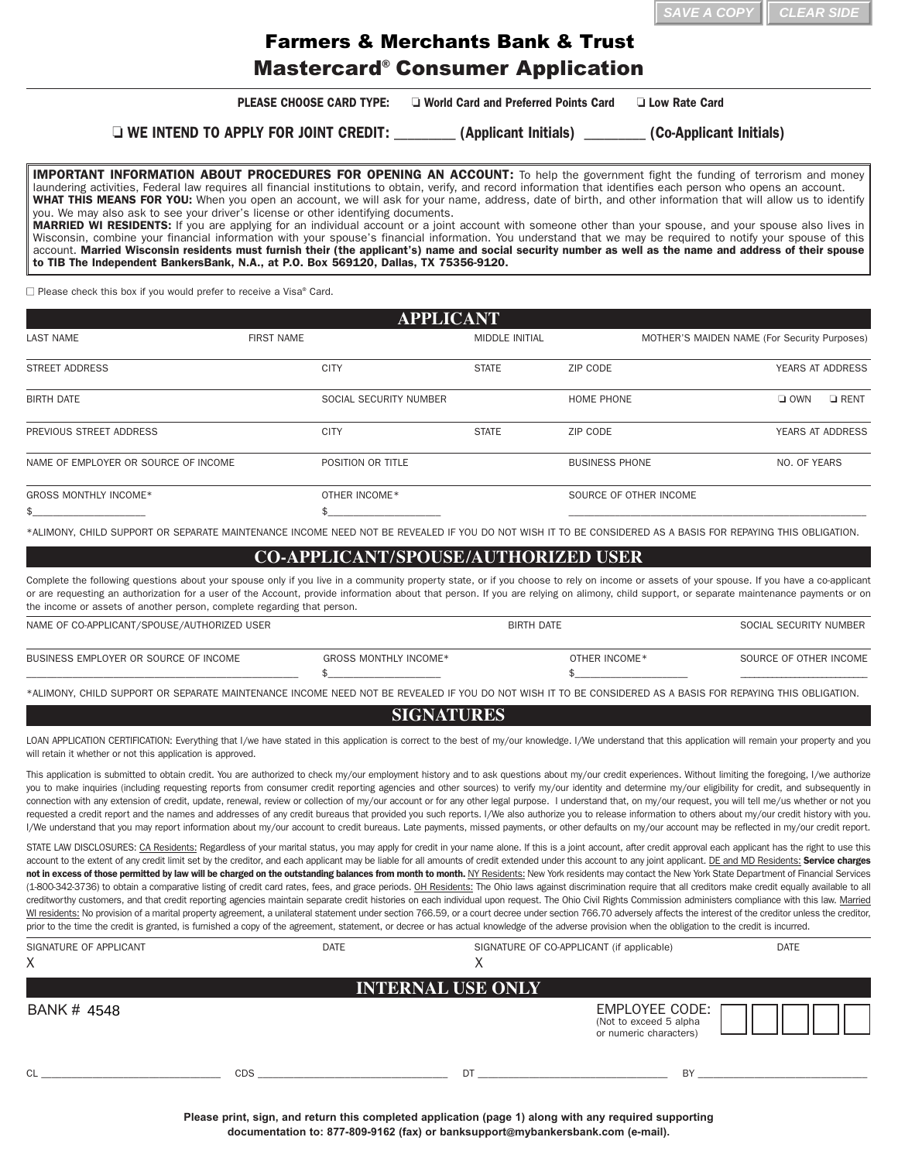## Mastercard® Consumer Application Farmers & Merchants Bank & Trust

**PLEASE CHOOSE CARD TYPE:**  $\Box$  World Card and Preferred Points Card  $\Box$  Low Rate Card

o **WE INTEND TO APPLY FOR JOINT CREDIT:** \_\_\_\_\_\_\_\_\_ **(Applicant Initials)** \_\_\_\_\_\_\_\_\_ **(Co-Applicant Initials)**

**IMPORTANT INFORMATION ABOUT PROCEDURES FOR OPENING AN ACCOUNT:** To help the government fight the funding of terrorism and money laundering activities, Federal law requires all financial institutions to obtain, verify, and record information that identifies each person who opens an account. **WHAT THIS MEANS FOR YOU:** When you open an account, we will ask for your name, address, date of birth, and other information that will allow us to identify you. We may also ask to see your driver's license or other identifying documents. **MARRIED WI RESIDENTS:** If you are applying for an individual account or a joint account with someone other than your spouse, and your spouse also lives in Wisconsin, combine your financial information with your spouse's financial information. You understand that we may be required to notify your spouse of this account. **Married Wisconsin residents must furnish their (the applicant's) name and social security number as well as the name and address of their spouse**

 $\Box$  Please check this box if you would prefer to receive a Visa® Card.

**to TIB The Independent BankersBank, N.A., at P.O. Box 569120, Dallas, TX 75356-9120.**

| <b>APPLICANT</b>                     |                   |                        |                       |                        |                                              |  |
|--------------------------------------|-------------------|------------------------|-----------------------|------------------------|----------------------------------------------|--|
| LAST NAME                            | <b>FIRST NAME</b> |                        | <b>MIDDLE INITIAL</b> |                        | MOTHER'S MAIDEN NAME (For Security Purposes) |  |
| <b>STREET ADDRESS</b>                |                   | <b>CITY</b>            | <b>STATE</b>          | ZIP CODE               | <b>YEARS AT ADDRESS</b>                      |  |
| <b>BIRTH DATE</b>                    |                   | SOCIAL SECURITY NUMBER |                       | <b>HOME PHONE</b>      | $\Box$ OWN<br>$\Box$ RENT                    |  |
| PREVIOUS STREET ADDRESS              |                   | <b>CITY</b>            | <b>STATE</b>          | ZIP CODE               | <b>YEARS AT ADDRESS</b>                      |  |
| NAME OF EMPLOYER OR SOURCE OF INCOME |                   | POSITION OR TITLE      |                       | <b>BUSINESS PHONE</b>  | NO. OF YEARS                                 |  |
| <b>GROSS MONTHLY INCOME*</b>         |                   | OTHER INCOME*          |                       | SOURCE OF OTHER INCOME |                                              |  |
| \$                                   |                   |                        |                       |                        |                                              |  |

\*ALIMONY, CHILD SUPPORT OR SEPARATE MAINTENANCE INCOME NEED NOT BE REVEALED IF YOU DO NOT WISH IT TO BE CONSIDERED AS A BASIS FOR REPAYING THIS OBLIGATION.

## **CO-APPLICANT/SPOUSE/AUTHORIZED USER**

Complete the following questions about your spouse only if you live in a community property state, or if you choose to rely on income or assets of your spouse. If you have a co-applicant or are requesting an authorization for a user of the Account, provide information about that person. If you are relying on alimony, child support, or separate maintenance payments or on the income or assets of another person, complete regarding that person.

| NAME OF CO-APPLICANT/SPOUSE/AUTHORIZED USER |                       | <b>BIRTH DATE</b> | SOCIAL SECURITY NUMBER |
|---------------------------------------------|-----------------------|-------------------|------------------------|
| BUSINESS EMPLOYER OR SOURCE OF INCOME       | GROSS MONTHLY INCOME* | OTHER INCOME *    | SOURCE OF OTHER INCOME |
|                                             |                       |                   |                        |

\*ALIMONY, CHILD SUPPORT OR SEPARATE MAINTENANCE INCOME NEED NOT BE REVEALED IF YOU DO NOT WISH IT TO BE CONSIDERED AS A BASIS FOR REPAYING THIS OBLIGATION.

## **SIGNATURES**

LOAN APPLICATION CERTIFICATION: Everything that I/we have stated in this application is correct to the best of my/our knowledge. I/We understand that this application will remain your property and you will retain it whether or not this application is approved.

This application is submitted to obtain credit. You are authorized to check my/our employment history and to ask questions about my/our credit experiences. Without limiting the foregoing, I/we authorize you to make inquiries (including requesting reports from consumer credit reporting agencies and other sources) to verify my/our identity and determine my/our eligibility for credit, and subsequently in connection with any extension of credit, update, renewal, review or collection of my/our account or for any other legal purpose. I understand that, on my/our request, you will tell me/us whether or not you requested a credit report and the names and addresses of any credit bureaus that provided you such reports. I/We also authorize you to release information to others about my/our credit history with you. I/We understand that you may report information about my/our account to credit bureaus. Late payments, missed payments, or other defaults on my/our account may be reflected in my/our credit report.

STATE LAW DISCLOSURES: CA Residents: Regardless of your marital status, you may apply for credit in your name alone. If this is a joint account, after credit approval each applicant has the right to use this account to the extent of any credit limit set by the creditor, and each applicant may be liable for all amounts of credit extended under this account to any joint applicant. DE and MD Residents: Service charges not in excess of those permitted by law will be charged on the outstanding balances from month to month. NY Residents: New York residents may contact the New York State Department of Financial Services (1-800-342-3736) to obtain a comparative listing of credit card rates, fees, and grace periods. OH Residents: The Ohio laws against discrimination require that all creditors make credit equally available to all creditworthy customers, and that credit reporting agencies maintain separate credit histories on each individual upon request. The Ohio Civil Rights Commission administers compliance with this law. Married WI residents: No provision of a marital property agreement, a unilateral statement under section 766.59, or a court decree under section 766.70 adversely affects the interest of the creditor unless the creditor, prior to the time the credit is granted, is furnished a copy of the agreement, statement, or decree or has actual knowledge of the adverse provision when the obligation to the credit is incurred.

| SIGNATURE OF APPLICANT<br>X | <b>DATE</b> | SIGNATURE OF CO-APPLICANT (if applicable) |                                                                     | <b>DATE</b> |
|-----------------------------|-------------|-------------------------------------------|---------------------------------------------------------------------|-------------|
|                             |             | <b>INTERNAL USE ONLY</b>                  |                                                                     |             |
| BANK # 4548                 |             |                                           | EMPLOYEE CODE:<br>(Not to exceed 5 alpha)<br>or numeric characters) |             |
| CI                          | <b>CDS</b>  | DT                                        | <b>BY</b>                                                           |             |

**Please print, sign, and return this completed application (page 1) along with any required supporting documentation to: 877-809-9162 (fax) or banksupport@mybankersbank.com (e-mail).**